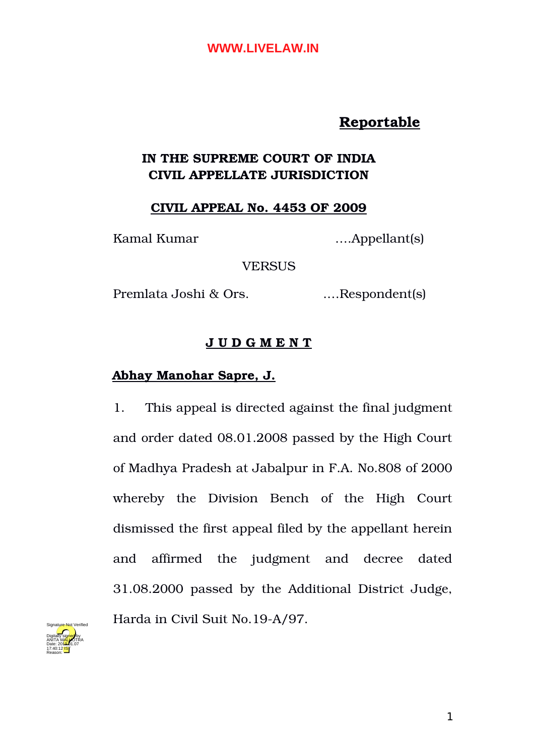# **Reportable**

# **IN THE SUPREME COURT OF INDIA CIVIL APPELLATE JURISDICTION**

### **CIVIL APPEAL No. 4453 OF 2009**

Kamal Kumar ….Appellant(s)

**VERSUS** 

Premlata Joshi & Ors. .…Respondent(s)

## **J U D G M E N T**

## **Abhay Manohar Sapre, J.**

1. This appeal is directed against the final judgment and order dated 08.01.2008 passed by the High Court of Madhya Pradesh at Jabalpur in F.A. No.808 of 2000 whereby the Division Bench of the High Court dismissed the first appeal filed by the appellant herein and affirmed the judgment and decree dated 31.08.2000 passed by the Additional District Judge, Harda in Civil Suit No.19-A/97.

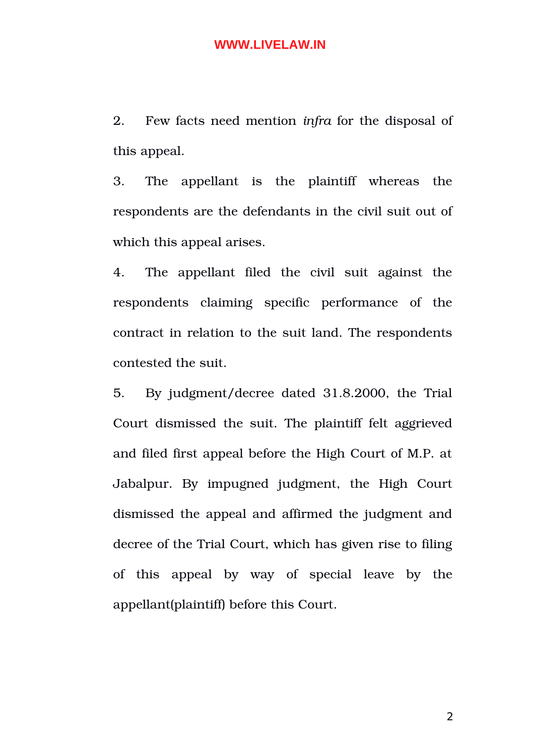2. Few facts need mention *infra* for the disposal of this appeal.

3. The appellant is the plaintiff whereas the respondents are the defendants in the civil suit out of which this appeal arises.

4. The appellant filed the civil suit against the respondents claiming specific performance of the contract in relation to the suit land. The respondents contested the suit.

5. By judgment/decree dated 31.8.2000, the Trial Court dismissed the suit. The plaintiff felt aggrieved and filed first appeal before the High Court of M.P. at Jabalpur. By impugned judgment, the High Court dismissed the appeal and affirmed the judgment and decree of the Trial Court, which has given rise to filing of this appeal by way of special leave by the appellant(plaintiff) before this Court.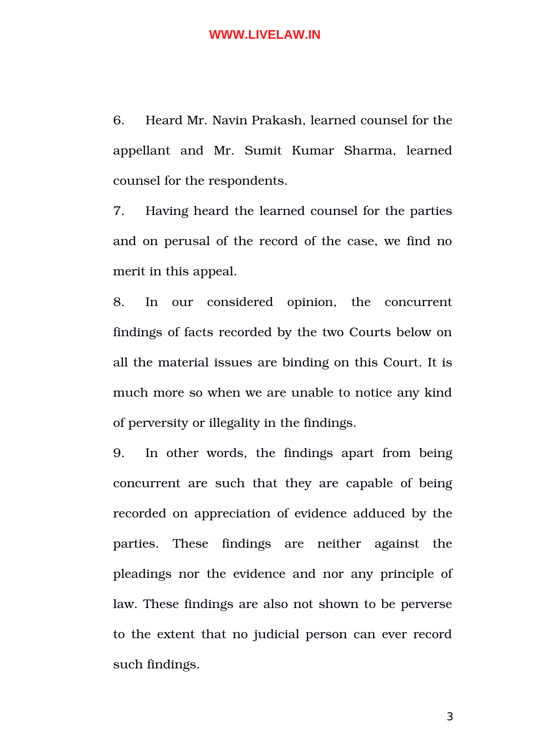6. Heard Mr. Navin Prakash, learned counsel for the appellant and Mr. Sumit Kumar Sharma, learned counsel for the respondents.

7. Having heard the learned counsel for the parties and on perusal of the record of the case, we find no merit in this appeal.

8. In our considered opinion, the concurrent findings of facts recorded by the two Courts below on all the material issues are binding on this Court. It is much more so when we are unable to notice any kind of perversity or illegality in the findings.

9. In other words, the findings apart from being concurrent are such that they are capable of being recorded on appreciation of evidence adduced by the parties. These findings are neither against the pleadings nor the evidence and nor any principle of law. These findings are also not shown to be perverse to the extent that no judicial person can ever record such findings.

3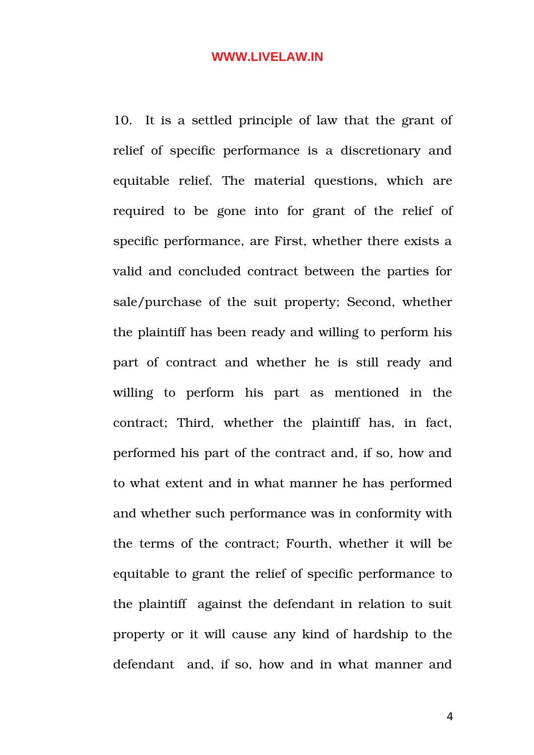10. It is a settled principle of law that the grant of relief of specific performance is a discretionary and equitable relief. The material questions, which are required to be gone into for grant of the relief of specific performance, are First, whether there exists a valid and concluded contract between the parties for sale/purchase of the suit property; Second, whether the plaintiff has been ready and willing to perform his part of contract and whether he is still ready and willing to perform his part as mentioned in the contract; Third, whether the plaintiff has, in fact, performed his part of the contract and, if so, how and to what extent and in what manner he has performed and whether such performance was in conformity with the terms of the contract; Fourth, whether it will be equitable to grant the relief of specific performance to the plaintiff against the defendant in relation to suit property or it will cause any kind of hardship to the defendant and, if so, how and in what manner and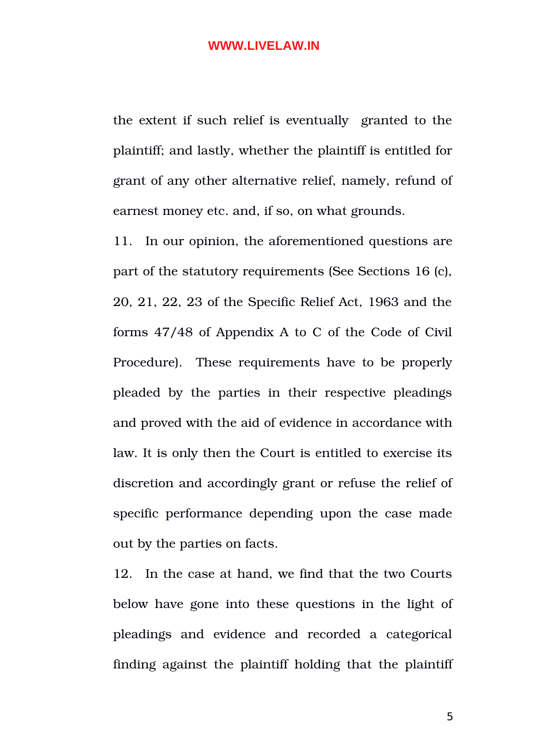the extent if such relief is eventually granted to the plaintiff; and lastly, whether the plaintiff is entitled for grant of any other alternative relief, namely, refund of earnest money etc. and, if so, on what grounds.

11. In our opinion, the aforementioned questions are part of the statutory requirements (See Sections 16 (c), 20, 21, 22, 23 of the Specific Relief Act, 1963 and the forms 47/48 of Appendix A to C of the Code of Civil Procedure). These requirements have to be properly pleaded by the parties in their respective pleadings and proved with the aid of evidence in accordance with law. It is only then the Court is entitled to exercise its discretion and accordingly grant or refuse the relief of specific performance depending upon the case made out by the parties on facts.

12. In the case at hand, we find that the two Courts below have gone into these questions in the light of pleadings and evidence and recorded a categorical finding against the plaintiff holding that the plaintiff

5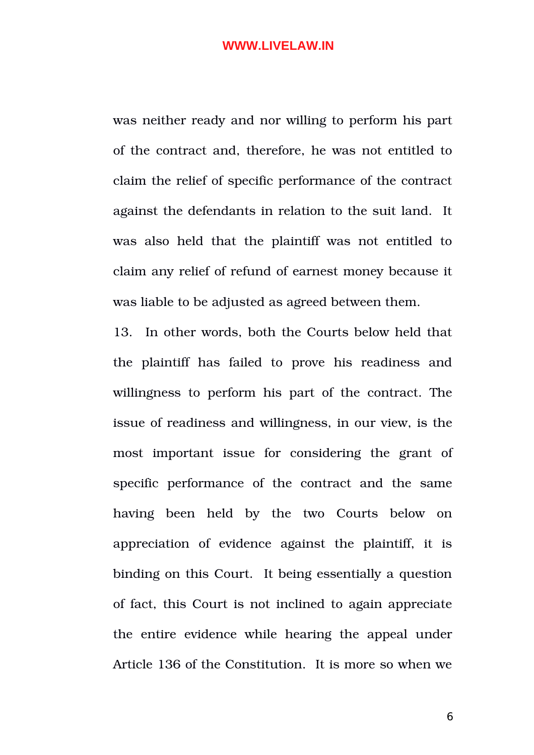was neither ready and nor willing to perform his part of the contract and, therefore, he was not entitled to claim the relief of specific performance of the contract against the defendants in relation to the suit land. It was also held that the plaintiff was not entitled to claim any relief of refund of earnest money because it was liable to be adjusted as agreed between them.

13. In other words, both the Courts below held that the plaintiff has failed to prove his readiness and willingness to perform his part of the contract. The issue of readiness and willingness, in our view, is the most important issue for considering the grant of specific performance of the contract and the same having been held by the two Courts below on appreciation of evidence against the plaintiff, it is binding on this Court. It being essentially a question of fact, this Court is not inclined to again appreciate the entire evidence while hearing the appeal under Article 136 of the Constitution. It is more so when we

6